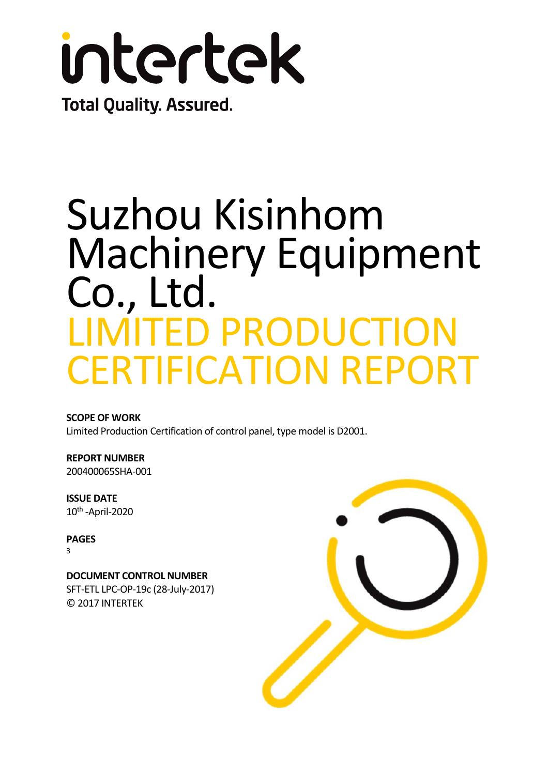

## Suzhou Kisinhom Machinery Equipment Co., Ltd. LIMITED PRODUCTION CERTIFICATION REPORT

**SCOPE OF WORK**  Limited Production Certification of control panel, type model is D2001.

**REPORT NUMBER** 200400065SHA-001

**ISSUE DATE**  10th -April-2020

**PAGES** 3

**DOCUMENT CONTROL NUMBER**  SFT-ETL LPC-OP-19c (28-July-2017) © 2017 INTERTEK

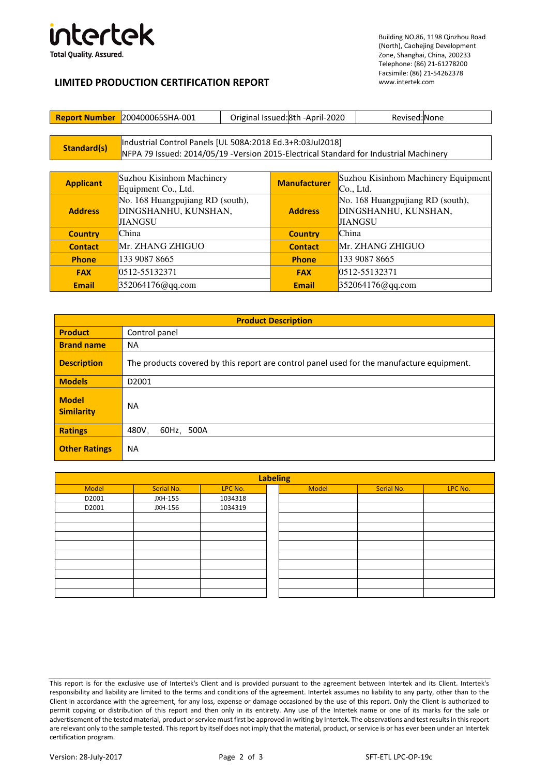

Building NO.86, 1198 Qinzhou Road (North), Caohejing Development Zone, Shanghai, China, 200233 Telephone: (86) 21-61278200 Facsimile: (86) 21-54262378 www.intertek.com

## **LIMITED PRODUCTION CERTIFICATION REPORT**

| <b>Report Number</b> | 200400065SHA-001                                                                       | Original Issued: 8th - April-2020 |                     | Revised: None                       |  |
|----------------------|----------------------------------------------------------------------------------------|-----------------------------------|---------------------|-------------------------------------|--|
|                      |                                                                                        |                                   |                     |                                     |  |
| Standard(s)          | Industrial Control Panels [UL 508A:2018 Ed.3+R:03Jul2018]                              |                                   |                     |                                     |  |
|                      | NFPA 79 Issued: 2014/05/19 - Version 2015-Electrical Standard for Industrial Machinery |                                   |                     |                                     |  |
|                      |                                                                                        |                                   |                     |                                     |  |
| <b>Applicant</b>     | Suzhou Kisinhom Machinery                                                              |                                   | <b>Manufacturer</b> | Suzhou Kisinhom Machinery Equipment |  |
|                      | Equipment Co., Ltd.                                                                    |                                   |                     | Co., Ltd.                           |  |
|                      | No. 168 Huangpujiang RD (south),                                                       |                                   |                     | No. 168 Huangpujiang RD (south),    |  |
| <b>Address</b>       | DINGSHANHU, KUNSHAN,                                                                   |                                   | <b>Address</b>      | DINGSHANHU, KUNSHAN,                |  |
|                      | <b>JIANGSU</b>                                                                         |                                   |                     | <b>JIANGSU</b>                      |  |
| <b>Country</b>       | China                                                                                  |                                   | <b>Country</b>      | China                               |  |
| <b>Contact</b>       | Mr. ZHANG ZHIGUO                                                                       |                                   | <b>Contact</b>      | Mr. ZHANG ZHIGUO                    |  |
| <b>Phone</b>         | 133 9087 8665                                                                          |                                   | <b>Phone</b>        | 133 9087 8665                       |  |
| <b>FAX</b>           | 0512-55132371                                                                          |                                   | <b>FAX</b>          | 0512-55132371                       |  |
| <b>Email</b>         | 352064176@qq.com                                                                       |                                   | <b>Email</b>        | 352064176@qq.com                    |  |

| <b>Product Description</b>        |                                                                                           |  |  |  |
|-----------------------------------|-------------------------------------------------------------------------------------------|--|--|--|
| <b>Product</b>                    | Control panel                                                                             |  |  |  |
| <b>Brand name</b>                 | <b>NA</b>                                                                                 |  |  |  |
| <b>Description</b>                | The products covered by this report are control panel used for the manufacture equipment. |  |  |  |
| <b>Models</b>                     | D <sub>2001</sub>                                                                         |  |  |  |
| <b>Model</b><br><b>Similarity</b> | <b>NA</b>                                                                                 |  |  |  |
| <b>Ratings</b>                    | 480V.<br>60Hz, 500A                                                                       |  |  |  |
| <b>Other Ratings</b>              | <b>NA</b>                                                                                 |  |  |  |

| Serial No. | LPC No. |
|------------|---------|
|            |         |
|            |         |
|            |         |
|            |         |
|            |         |
|            |         |
|            |         |
|            |         |
|            |         |
|            |         |
|            |         |
|            |         |

| ling! |              |            |         |  |  |
|-------|--------------|------------|---------|--|--|
|       | <b>Model</b> | Serial No. | LPC No. |  |  |
|       |              |            |         |  |  |
|       |              |            |         |  |  |
|       |              |            |         |  |  |
|       |              |            |         |  |  |
|       |              |            |         |  |  |
|       |              |            |         |  |  |
|       |              |            |         |  |  |
|       |              |            |         |  |  |
|       |              |            |         |  |  |
|       |              |            |         |  |  |
|       |              |            |         |  |  |

This report is for the exclusive use of Intertek's Client and is provided pursuant to the agreement between Intertek and its Client. Intertek's responsibility and liability are limited to the terms and conditions of the agreement. Intertek assumes no liability to any party, other than to the Client in accordance with the agreement, for any loss, expense or damage occasioned by the use of this report. Only the Client is authorized to permit copying or distribution of this report and then only in its entirety. Any use of the Intertek name or one of its marks for the sale or advertisement of the tested material, product or service must first be approved in writing by Intertek. The observations and test results in this report are relevant only to the sample tested. This report by itself does not imply that the material, product, or service is or has ever been under an Intertek certification program.